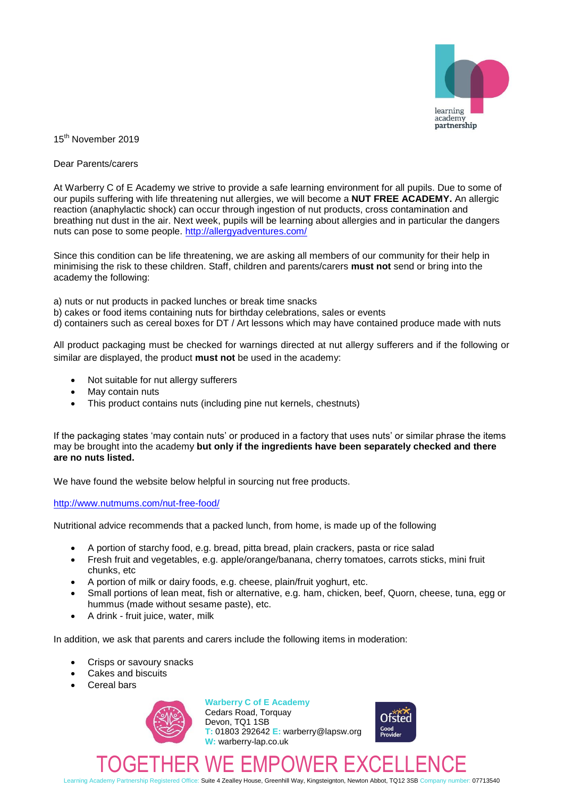

15th November 2019

Dear Parents/carers

At Warberry C of E Academy we strive to provide a safe learning environment for all pupils. Due to some of our pupils suffering with life threatening nut allergies, we will become a **NUT FREE ACADEMY.** An allergic reaction (anaphylactic shock) can occur through ingestion of nut products, cross contamination and breathing nut dust in the air. Next week, pupils will be learning about allergies and in particular the dangers nuts can pose to some people.<http://allergyadventures.com/>

Since this condition can be life threatening, we are asking all members of our community for their help in minimising the risk to these children. Staff, children and parents/carers **must not** send or bring into the academy the following:

a) nuts or nut products in packed lunches or break time snacks

b) cakes or food items containing nuts for birthday celebrations, sales or events

d) containers such as cereal boxes for DT / Art lessons which may have contained produce made with nuts

All product packaging must be checked for warnings directed at nut allergy sufferers and if the following or similar are displayed, the product **must not** be used in the academy:

- Not suitable for nut allergy sufferers
- May contain nuts
- This product contains nuts (including pine nut kernels, chestnuts)

If the packaging states 'may contain nuts' or produced in a factory that uses nuts' or similar phrase the items may be brought into the academy **but only if the ingredients have been separately checked and there are no nuts listed.**

We have found the website below helpful in sourcing nut free products.

<http://www.nutmums.com/nut-free-food/>

Nutritional advice recommends that a packed lunch, from home, is made up of the following

- A portion of starchy food, e.g. bread, pitta bread, plain crackers, pasta or rice salad
- Fresh fruit and vegetables, e.g. apple/orange/banana, cherry tomatoes, carrots sticks, mini fruit chunks, etc
- A portion of milk or dairy foods, e.g. cheese, plain/fruit yoghurt, etc.
- Small portions of lean meat, fish or alternative, e.g. ham, chicken, beef, Quorn, cheese, tuna, egg or hummus (made without sesame paste), etc.
- A drink fruit juice, water, milk

In addition, we ask that parents and carers include the following items in moderation:

- Crisps or savoury snacks
- Cakes and biscuits
- Cereal bars



**Warberry C of E Academy**

Cedars Road, Torquay Devon, TQ1 1SB **T:** 01803 292642 **E:** warberry@lapsw.org **W:** warberry-lap.co.uk



## TOGETHER WE EMPOWER EXCELLENCE

Learning Academy Partnership Registered Office: Suite 4 Zealley House, Greenhill Way, Kingsteignton, Newton Abbot, TQ12 3SB Company number: 07713540